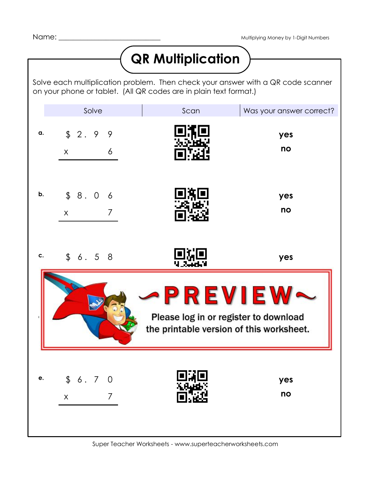## **QR Multiplication**

Solve each multiplication problem. Then check your answer with a QR code scanner on your phone or tablet. (All QR codes are in plain text format.)

|                                                                                               | Solve                                    | Scan | Was your answer correct? |
|-----------------------------------------------------------------------------------------------|------------------------------------------|------|--------------------------|
| a.                                                                                            | \$2.99<br>6<br>X                         |      | yes<br>no                |
| b.                                                                                            | \$8.06<br>$\overline{7}$<br>$\mathsf{X}$ |      | yes<br>no                |
| c.                                                                                            | \$6.58                                   | 感恩   | yes                      |
| -PREVIEW<br>Please log in or register to download<br>the printable version of this worksheet. |                                          |      |                          |
| e.                                                                                            | \$6.70<br>$\overline{7}$<br>$\mathsf{X}$ | ∎[∄  | yes<br>no                |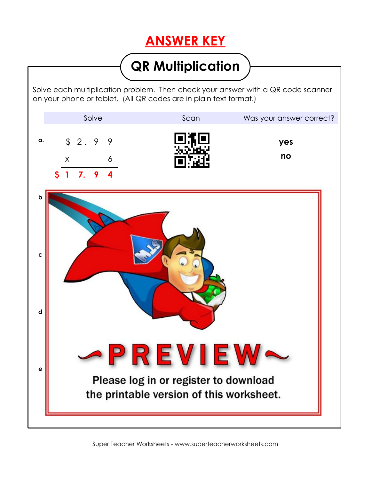## **ANSWER KEY**

## **QR Multiplication**

Solve each multiplication problem. Then check your answer with a QR code scanner on your phone or tablet. (All QR codes are in plain text format.)